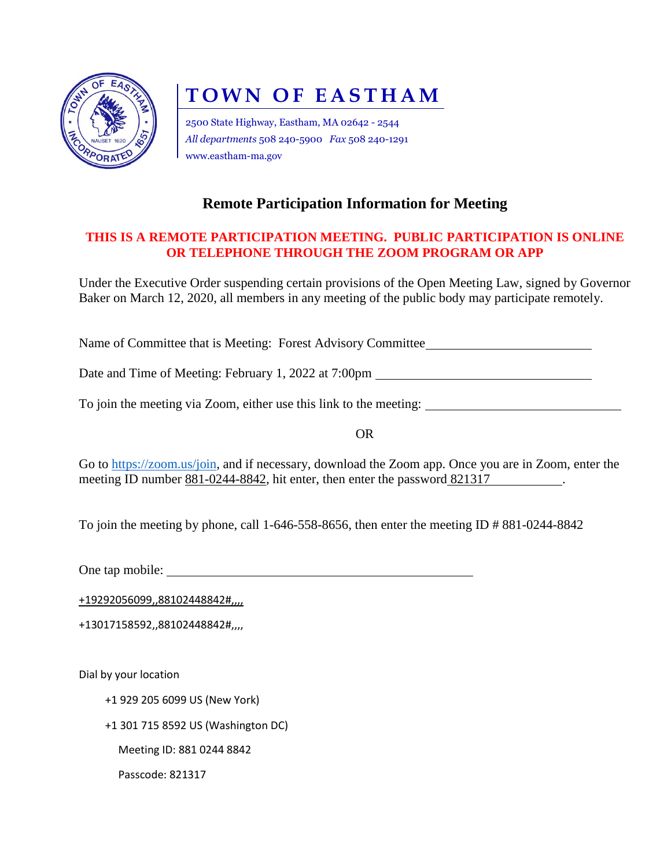

# **TOWN OF EASTHAM**

2500 State Highway, Eastham, MA 02642 - 2544 *All departments* 508 240-5900 *Fax* 508 240-1291 www.eastham-ma.gov

# **Remote Participation Information for Meeting**

## **THIS IS A REMOTE PARTICIPATION MEETING. PUBLIC PARTICIPATION IS ONLINE OR TELEPHONE THROUGH THE ZOOM PROGRAM OR APP**

Under the Executive Order suspending certain provisions of the Open Meeting Law, signed by Governor Baker on March 12, 2020, all members in any meeting of the public body may participate remotely.

Name of Committee that is Meeting: Forest Advisory Committee

Date and Time of Meeting: February 1, 2022 at 7:00pm

To join the meeting via Zoom, either use this link to the meeting:

OR

Go to [https://zoom.us/join,](https://zoom.us/join) and if necessary, download the Zoom app. Once you are in Zoom, enter the meeting ID number 881-0244-8842, hit enter, then enter the password 821317

To join the meeting by phone, call 1-646-558-8656, then enter the meeting ID # 881-0244-8842

One tap mobile:

+19292056099,,88102448842#,,,,

+13017158592,,88102448842#,,,,

Dial by your location

+1 929 205 6099 US (New York)

+1 301 715 8592 US (Washington DC)

Meeting ID: 881 0244 8842

Passcode: 821317